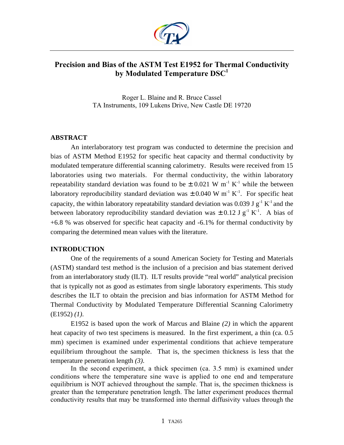

# **Precision and Bias of the ASTM Test E1952 for Thermal Conductivity by Modulated Temperature DSC<sup>1</sup>**

Roger L. Blaine and R. Bruce Cassel TA Instruments, 109 Lukens Drive, New Castle DE 19720

# **ABSTRACT**

An interlaboratory test program was conducted to determine the precision and bias of ASTM Method E1952 for specific heat capacity and thermal conductivity by modulated temperature differential scanning calorimetry. Results were received from 15 laboratories using two materials. For thermal conductivity, the within laboratory repeatability standard deviation was found to be  $\pm$  0.021 W m<sup>-1</sup> K<sup>-1</sup> while the between laboratory reproducibility standard deviation was  $\pm$  0.040 W m<sup>-1</sup> K<sup>-1</sup>. For specific heat capacity, the within laboratory repeatability standard deviation was 0.039 J  $g^{-1} K^{-1}$  and the between laboratory reproducibility standard deviation was  $\pm$  0.12 J g<sup>-1</sup> K<sup>-1</sup>. A bias of +6.8 % was observed for specific heat capacity and -6.1% for thermal conductivity by comparing the determined mean values with the literature.

# **INTRODUCTION**

One of the requirements of a sound American Society for Testing and Materials (ASTM) standard test method is the inclusion of a precision and bias statement derived from an interlaboratory study (ILT). ILT results provide "real world" analytical precision that is typically not as good as estimates from single laboratory experiments. This study describes the ILT to obtain the precision and bias information for ASTM Method for Thermal Conductivity by Modulated Temperature Differential Scanning Calorimetry (E1952) *(1)*.

E1952 is based upon the work of Marcus and Blaine *(2)* in which the apparent heat capacity of two test specimens is measured. In the first experiment, a thin (ca. 0.5) mm) specimen is examined under experimental conditions that achieve temperature equilibrium throughout the sample. That is, the specimen thickness is less that the temperature penetration length *(3)*.

In the second experiment, a thick specimen (ca. 3.5 mm) is examined under conditions where the temperature sine wave is applied to one end and temperature equilibrium is NOT achieved throughout the sample. That is, the specimen thickness is greater than the temperature penetration length. The latter experiment produces thermal conductivity results that may be transformed into thermal diffusivity values through the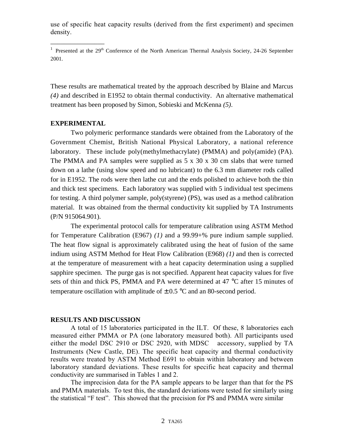use of specific heat capacity results (derived from the first experiment) and specimen density.

These results are mathematical treated by the approach described by Blaine and Marcus *(4)* and described in E1952 to obtain thermal conductivity. An alternative mathematical treatment has been proposed by Simon, Sobieski and McKenna *(5)*.

# **EXPERIMENTAL**

\_\_\_\_\_\_\_\_\_\_\_\_\_\_\_\_

Two polymeric performance standards were obtained from the Laboratory of the Government Chemist, British National Physical Laboratory, a national reference laboratory. These include poly(methylmethacrylate) (PMMA) and poly(amide) (PA). The PMMA and PA samples were supplied as  $5 \times 30 \times 30$  cm slabs that were turned down on a lathe (using slow speed and no lubricant) to the 6.3 mm diameter rods called for in E1952. The rods were then lathe cut and the ends polished to achieve both the thin and thick test specimens. Each laboratory was supplied with 5 individual test specimens for testing. A third polymer sample, poly(styrene) (PS), was used as a method calibration material. It was obtained from the thermal conductivity kit supplied by TA Instruments (P/N 915064.901).

The experimental protocol calls for temperature calibration using ASTM Method for Temperature Calibration (E967) *(1)* and a 99.99+% pure indium sample supplied. The heat flow signal is approximately calibrated using the heat of fusion of the same indium using ASTM Method for Heat Flow Calibration (E968) *(1)* and then is corrected at the temperature of measurement with a heat capacity determination using a supplied sapphire specimen. The purge gas is not specified. Apparent heat capacity values for five sets of thin and thick PS, PMMA and PA were determined at 47 °C after 15 minutes of temperature oscillation with amplitude of  $\pm$  0.5 °C and an 80-second period.

## **RESULTS AND DISCUSSION**

A total of 15 laboratories participated in the ILT. Of these, 8 laboratories each measured either PMMA or PA (one laboratory measured both). All participants used either the model DSC 2910 or DSC 2920, with MDSC® accessory, supplied by TA Instruments (New Castle, DE). The specific heat capacity and thermal conductivity results were treated by ASTM Method E691 to obtain within laboratory and between laboratory standard deviations. These results for specific heat capacity and thermal conductivity are summarised in Tables 1 and 2.

The imprecision data for the PA sample appears to be larger than that for the PS and PMMA materials. To test this, the standard deviations were tested for similarly using the statistical "F test". This showed that the precision for PS and PMMA were similar

<sup>&</sup>lt;sup>1</sup> Presented at the  $29<sup>th</sup>$  Conference of the North American Thermal Analysis Society, 24-26 September 2001.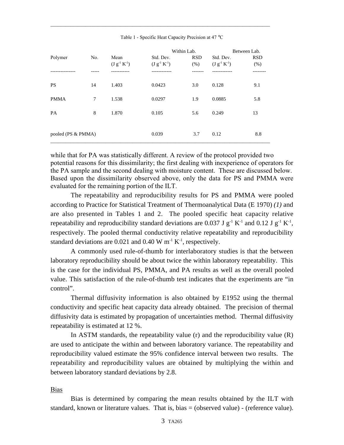|                    |     |                     | Within Lab.         |            | Between Lab.        |            |
|--------------------|-----|---------------------|---------------------|------------|---------------------|------------|
| Polymer            | No. | Mean                | Std. Dev.           | <b>RSD</b> | Std. Dev.           | <b>RSD</b> |
|                    |     | $(J g^{-1} K^{-1})$ | $(J g^{-1} K^{-1})$ | (% )       | $(J g^{-1} K^{-1})$ | (% )       |
|                    |     |                     |                     |            |                     |            |
| <b>PS</b>          | 14  | 1.403               | 0.0423              | 3.0        | 0.128               | 9.1        |
| <b>PMMA</b>        | 7   | 1.538               | 0.0297              | 1.9        | 0.0885              | 5.8        |
| <b>PA</b>          | 8   | 1.870               | 0.105               | 5.6        | 0.249               | 13         |
|                    |     |                     |                     |            |                     |            |
| pooled (PS & PMMA) |     | 0.039               | 3.7                 | 0.12       | 8.8                 |            |
|                    |     |                     |                     |            |                     |            |

Table 1 - Specific Heat Capacity Precision at 47 °C

\_\_\_\_\_\_\_\_\_\_\_\_\_\_\_\_\_\_\_\_\_\_\_\_\_\_\_\_\_\_\_\_\_\_\_\_\_\_\_\_\_\_\_\_\_\_\_\_\_\_\_\_\_\_\_\_\_\_\_\_\_\_\_\_\_\_\_\_\_\_\_\_\_\_\_\_\_\_\_\_\_\_\_\_\_\_\_\_

while that for PA was statistically different. A review of the protocol provided two potential reasons for this dissimilarity; the first dealing with inexperience of operators for the PA sample and the second dealing with moisture content. These are discussed below. Based upon the dissimilarity observed above, only the data for PS and PMMA were evaluated for the remaining portion of the ILT.

The repeatability and reproducibility results for PS and PMMA were pooled according to Practice for Statistical Treatment of Thermoanalytical Data (E 1970) *(1)* and are also presented in Tables 1 and 2. The pooled specific heat capacity relative repeatability and reproducibility standard deviations are 0.037 J  $g^{-1} K^{-1}$  and 0.12 J  $g^{-1} K^{-1}$ , respectively. The pooled thermal conductivity relative repeatability and reproducibility standard deviations are  $0.021$  and  $0.40$  W m<sup>-1</sup> K<sup>-1</sup>, respectively.

A commonly used rule-of-thumb for interlaboratory studies is that the between laboratory reproducibility should be about twice the within laboratory repeatability. This is the case for the individual PS, PMMA, and PA results as well as the overall pooled value. This satisfaction of the rule-of-thumb test indicates that the experiments are "in control".

Thermal diffusivity information is also obtained by E1952 using the thermal conductivity and specific heat capacity data already obtained. The precision of thermal diffusivity data is estimated by propagation of uncertainties method. Thermal diffusivity repeatability is estimated at 12 %.

In ASTM standards, the repeatability value  $(r)$  and the reproducibility value  $(R)$ are used to anticipate the within and between laboratory variance. The repeatability and reproducibility valued estimate the 95% confidence interval between two results. The repeatability and reproducibility values are obtained by multiplying the within and between laboratory standard deviations by 2.8.

## Bias

Bias is determined by comparing the mean results obtained by the ILT with standard, known or literature values. That is, bias = (observed value) - (reference value).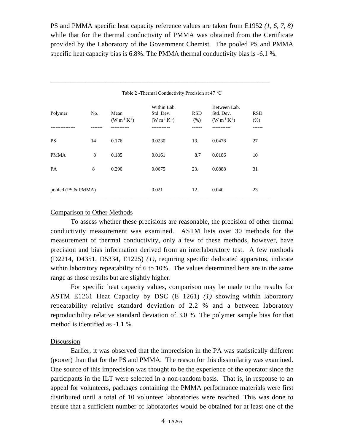PS and PMMA specific heat capacity reference values are taken from E1952 *(1, 6, 7, 8)* while that for the thermal conductivity of PMMA was obtained from the Certificate provided by the Laboratory of the Government Chemist. The pooled PS and PMMA specific heat capacity bias is 6.8%. The PMMA thermal conductivity bias is -6.1 %.

|                    | Table 2 - Thermal Conductivity Precision at 47 °C |                             |                                                 |                    |                                                  |                    |  |  |  |
|--------------------|---------------------------------------------------|-----------------------------|-------------------------------------------------|--------------------|--------------------------------------------------|--------------------|--|--|--|
| Polymer            | No.                                               | Mean<br>$(W m^{-1} K^{-1})$ | Within Lab.<br>Std. Dev.<br>$(W m^{-1} K^{-1})$ | <b>RSD</b><br>(% ) | Between Lab.<br>Std. Dev.<br>$(W m^{-1} K^{-1})$ | <b>RSD</b><br>(% ) |  |  |  |
|                    |                                                   |                             |                                                 |                    |                                                  |                    |  |  |  |
| <b>PS</b>          | 14                                                | 0.176                       | 0.0230                                          | 13.                | 0.0478                                           | 27                 |  |  |  |
| <b>PMMA</b>        | 8                                                 | 0.185                       | 0.0161                                          | 8.7                | 0.0186                                           | 10                 |  |  |  |
| <b>PA</b>          | 8                                                 | 0.290                       | 0.0675                                          | 23.                | 0.0888                                           | 31                 |  |  |  |
| pooled (PS & PMMA) |                                                   | 0.021                       | 12.                                             | 0.040              | 23                                               |                    |  |  |  |

\_\_\_\_\_\_\_\_\_\_\_\_\_\_\_\_\_\_\_\_\_\_\_\_\_\_\_\_\_\_\_\_\_\_\_\_\_\_\_\_\_\_\_\_\_\_\_\_\_\_\_\_\_\_\_\_\_\_\_\_\_\_\_\_\_\_\_\_\_\_\_\_\_\_\_\_\_\_\_\_\_\_\_\_\_\_\_\_

### Comparison to Other Methods

To assess whether these precisions are reasonable, the precision of other thermal conductivity measurement was examined. ASTM lists over 30 methods for the measurement of thermal conductivity, only a few of these methods, however, have precision and bias information derived from an interlaboratory test. A few methods (D2214, D4351, D5334, E1225) *(1)*, requiring specific dedicated apparatus, indicate within laboratory repeatability of 6 to 10%. The values determined here are in the same range as those results but are slightly higher.

For specific heat capacity values, comparison may be made to the results for ASTM E1261 Heat Capacity by DSC (E 1261) *(1)* showing within laboratory repeatability relative standard deviation of 2.2 % and a between laboratory reproducibility relative standard deviation of 3.0 %. The polymer sample bias for that method is identified as -1.1 %.

### Discussion

Earlier, it was observed that the imprecision in the PA was statistically different (poorer) than that for the PS and PMMA. The reason for this dissimilarity was examined. One source of this imprecision was thought to be the experience of the operator since the participants in the ILT were selected in a non-random basis. That is, in response to an appeal for volunteers, packages containing the PMMA performance materials were first distributed until a total of 10 volunteer laboratories were reached. This was done to ensure that a sufficient number of laboratories would be obtained for at least one of the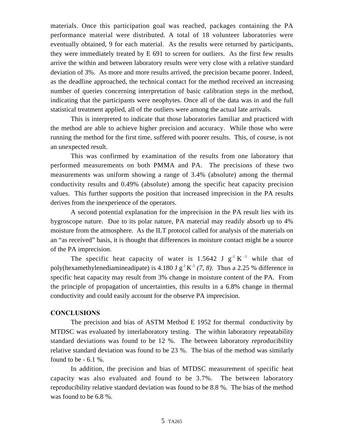materials. Once this participation goal was reached, packages containing the PA performance material were distributed. A total of 18 volunteer laboratories were eventually obtained, 9 for each material. As the results were returned by participants, they were immediately treated by E 691 to screen for outliers. As the first few results arrive the within and between laboratory results were very close with a relative standard deviation of 3%. As more and more results arrived, the precision became poorer. Indeed, as the deadline approached, the technical contact for the method received an increasing number of queries concerning interpretation of basic calibration steps in the method, indicating that the participants were neophytes. Once all of the data was in and the full statistical treatment applied, all of the outliers were among the actual late arrivals.

This is interpreted to indicate that those laboratories familiar and practiced with the method are able to achieve higher precision and accuracy. While those who were running the method for the first time, suffered with poorer results. This, of course, is not an unexpected result.

This was confirmed by examination of the results from one laboratory that performed measurements on both PMMA and PA. The precisions of these two measurements was uniform showing a range of 3.4% (absolute) among the thermal conductivity results and 0.49% (absolute) among the specific heat capacity precision values. This further supports the position that increased imprecision in the PA results derives from the inexperience of the operators.

A second potential explanation for the imprecision in the PA result lies with its hygroscope nature. Due to its polar nature, PA material may readily absorb up to 4% moisture from the atmosphere. As the ILT protocol called for analysis of the materials on an "as received" basis, it is thought that differences in moisture contact might be a source of the PA imprecision.

The specific heat capacity of water is 1.5642 J  $g^{-1} K^{-1}$  while that of poly(hexamethylenediamineadipate) is 4.180 J  $g^{-1}K^{-1}$  (7, 8). Thus a 2.25 % difference in specific heat capacity may result from 3% change in moisture content of the PA. From the principle of propagation of uncertainties, this results in a 6.8% change in thermal conductivity and could easily account for the observe PA imprecision.

# **CONCLUSIONS**

The precision and bias of ASTM Method E 1952 for thermal conductivity by MTDSC was evaluated by interlaboratory testing. The within laboratory repeatability standard deviations was found to be 12 %. The between laboratory reproducibility relative standard deviation was found to be 23 %. The bias of the method was similarly found to be  $-6.1\%$ .

In addition, the precision and bias of MTDSC measurement of specific heat capacity was also evaluated and found to be 3.7%. The between laboratory reproducibility relative standard deviation was found to be 8.8 %. The bias of the method was found to be 6.8 %.